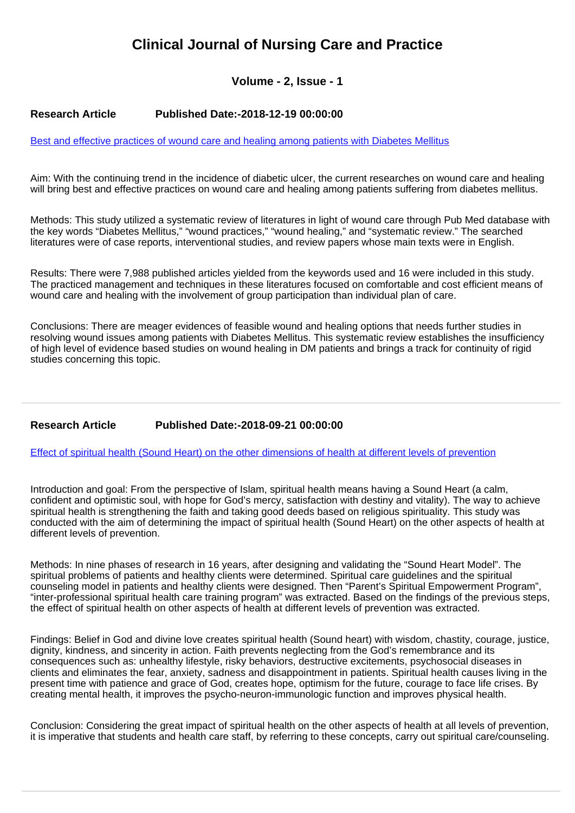# **Clinical Journal of Nursing Care and Practice**

## **Volume - 2, Issue - 1**

#### **Research Article Published Date:-2018-12-19 00:00:00**

[Best and effective practices of wound care and healing among patients with Diabetes Mellitus](https://www.nursingpracticejournal.com/articles/cjncp-aid1009.pdf)

Aim: With the continuing trend in the incidence of diabetic ulcer, the current researches on wound care and healing will bring best and effective practices on wound care and healing among patients suffering from diabetes mellitus.

Methods: This study utilized a systematic review of literatures in light of wound care through Pub Med database with the key words "Diabetes Mellitus," "wound practices," "wound healing," and "systematic review." The searched literatures were of case reports, interventional studies, and review papers whose main texts were in English.

Results: There were 7,988 published articles yielded from the keywords used and 16 were included in this study. The practiced management and techniques in these literatures focused on comfortable and cost efficient means of wound care and healing with the involvement of group participation than individual plan of care.

Conclusions: There are meager evidences of feasible wound and healing options that needs further studies in resolving wound issues among patients with Diabetes Mellitus. This systematic review establishes the insufficiency of high level of evidence based studies on wound healing in DM patients and brings a track for continuity of rigid studies concerning this topic.

### **Research Article Published Date:-2018-09-21 00:00:00**

[Effect of spiritual health \(Sound Heart\) on the other dimensions of health at different levels of prevention](https://www.nursingpracticejournal.com/articles/cjncp-aid1008.pdf)

Introduction and goal: From the perspective of Islam, spiritual health means having a Sound Heart (a calm, confident and optimistic soul, with hope for God's mercy, satisfaction with destiny and vitality). The way to achieve spiritual health is strengthening the faith and taking good deeds based on religious spirituality. This study was conducted with the aim of determining the impact of spiritual health (Sound Heart) on the other aspects of health at different levels of prevention.

Methods: In nine phases of research in 16 years, after designing and validating the "Sound Heart Model". The spiritual problems of patients and healthy clients were determined. Spiritual care guidelines and the spiritual counseling model in patients and healthy clients were designed. Then "Parent's Spiritual Empowerment Program", "inter-professional spiritual health care training program" was extracted. Based on the findings of the previous steps, the effect of spiritual health on other aspects of health at different levels of prevention was extracted.

Findings: Belief in God and divine love creates spiritual health (Sound heart) with wisdom, chastity, courage, justice, dignity, kindness, and sincerity in action. Faith prevents neglecting from the God's remembrance and its consequences such as: unhealthy lifestyle, risky behaviors, destructive excitements, psychosocial diseases in clients and eliminates the fear, anxiety, sadness and disappointment in patients. Spiritual health causes living in the present time with patience and grace of God, creates hope, optimism for the future, courage to face life crises. By creating mental health, it improves the psycho-neuron-immunologic function and improves physical health.

Conclusion: Considering the great impact of spiritual health on the other aspects of health at all levels of prevention, it is imperative that students and health care staff, by referring to these concepts, carry out spiritual care/counseling.